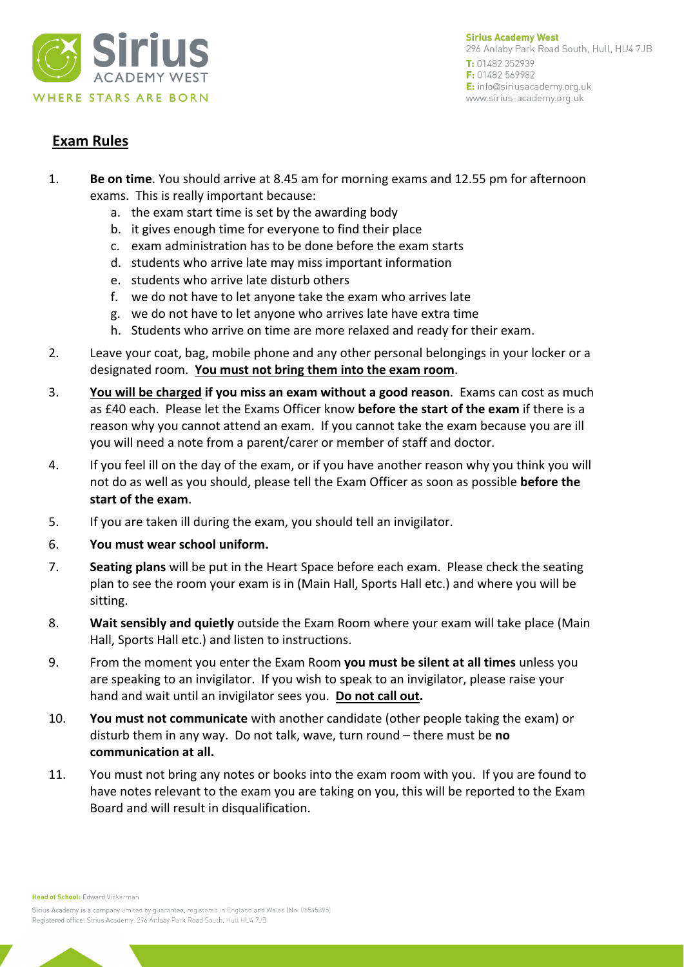

**Sirius Academy West** 296 Anlaby Park Road South, Hull, HU4 7JB T: 01482 352939 F: 01482 569982 E: info@siriusacademy.org.uk www.sirius-academy.org.uk

## **Exam Rules**

- 1. **Be on time**. You should arrive at 8.45 am for morning exams and 12.55 pm for afternoon exams. This is really important because:
	- a. the exam start time is set by the awarding body
	- b. it gives enough time for everyone to find their place
	- c. exam administration has to be done before the exam starts
	- d. students who arrive late may miss important information
	- e. students who arrive late disturb others
	- f. we do not have to let anyone take the exam who arrives late
	- g. we do not have to let anyone who arrives late have extra time
	- h. Students who arrive on time are more relaxed and ready for their exam.
- 2. Leave your coat, bag, mobile phone and any other personal belongings in your locker or a designated room. **You must not bring them into the exam room**.
- 3. **You will be charged if you miss an exam without a good reason**. Exams can cost as much as £40 each. Please let the Exams Officer know **before the start of the exam** if there is a reason why you cannot attend an exam. If you cannot take the exam because you are ill you will need a note from a parent/carer or member of staff and doctor.
- 4. If you feel ill on the day of the exam, or if you have another reason why you think you will not do as well as you should, please tell the Exam Officer as soon as possible **before the start of the exam**.
- 5. If you are taken ill during the exam, you should tell an invigilator.
- 6. **You must wear school uniform.**
- 7. **Seating plans** will be put in the Heart Space before each exam. Please check the seating plan to see the room your exam is in (Main Hall, Sports Hall etc.) and where you will be sitting.
- 8. **Wait sensibly and quietly** outside the Exam Room where your exam will take place (Main Hall, Sports Hall etc.) and listen to instructions.
- 9. From the moment you enter the Exam Room **you must be silent at all times** unless you are speaking to an invigilator. If you wish to speak to an invigilator, please raise your hand and wait until an invigilator sees you. **Do not call out.**
- 10. **You must not communicate** with another candidate (other people taking the exam) or disturb them in any way. Do not talk, wave, turn round – there must be **no communication at all.**
- 11. You must not bring any notes or books into the exam room with you. If you are found to have notes relevant to the exam you are taking on you, this will be reported to the Exam Board and will result in disqualification.

Head of School: Edward Vickerman